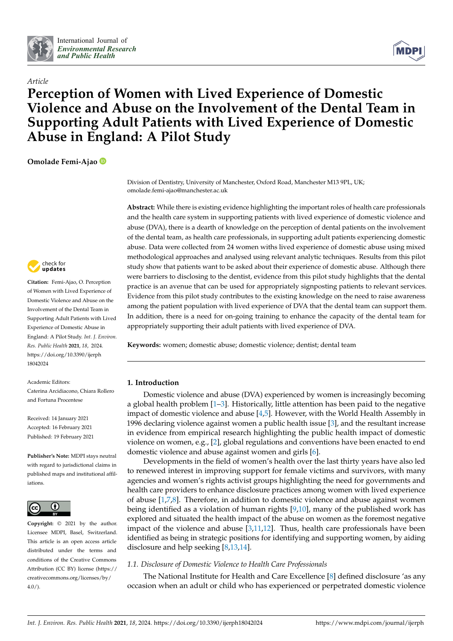

*Article*



# **Perception of Women with Lived Experience of Domestic Violence and Abuse on the Involvement of the Dental Team in Supporting Adult Patients with Lived Experience of Domestic Abuse in England: A Pilot Study**

**Omolade Femi-Ajao**



**Citation:** Femi-Ajao, O. Perception of Women with Lived Experience of Domestic Violence and Abuse on the Involvement of the Dental Team in Supporting Adult Patients with Lived Experience of Domestic Abuse in England: A Pilot Study. *Int. J. Environ. Res. Public Health* **2021**, *18*, 2024. [https://doi.org/10.3390/ijerph](https://doi.org/10.3390/ijerph18042024) [18042024](https://doi.org/10.3390/ijerph18042024)

Academic Editors: Caterina Arcidiacono, Chiara Rollero and Fortuna Procentese

Received: 14 January 2021 Accepted: 16 February 2021 Published: 19 February 2021

**Publisher's Note:** MDPI stays neutral with regard to jurisdictional claims in published maps and institutional affiliations.



**Copyright:** © 2021 by the author. Licensee MDPI, Basel, Switzerland. This article is an open access article distributed under the terms and conditions of the Creative Commons Attribution (CC BY) license (https:/[/](https://creativecommons.org/licenses/by/4.0/) [creativecommons.org/licenses/by/](https://creativecommons.org/licenses/by/4.0/)  $4.0/$ ).

Division of Dentistry, University of Manchester, Oxford Road, Manchester M13 9PL, UK; omolade.femi-ajao@manchester.ac.uk

**Abstract:** While there is existing evidence highlighting the important roles of health care professionals and the health care system in supporting patients with lived experience of domestic violence and abuse (DVA), there is a dearth of knowledge on the perception of dental patients on the involvement of the dental team, as health care professionals, in supporting adult patients experiencing domestic abuse. Data were collected from 24 women withs lived experience of domestic abuse using mixed methodological approaches and analysed using relevant analytic techniques. Results from this pilot study show that patients want to be asked about their experience of domestic abuse. Although there were barriers to disclosing to the dentist, evidence from this pilot study highlights that the dental practice is an avenue that can be used for appropriately signposting patients to relevant services. Evidence from this pilot study contributes to the existing knowledge on the need to raise awareness among the patient population with lived experience of DVA that the dental team can support them. In addition, there is a need for on-going training to enhance the capacity of the dental team for appropriately supporting their adult patients with lived experience of DVA.

**Keywords:** women; domestic abuse; domestic violence; dentist; dental team

# **1. Introduction**

Domestic violence and abuse (DVA) experienced by women is increasingly becoming a global health problem  $[1-3]$  $[1-3]$ . Historically, little attention has been paid to the negative impact of domestic violence and abuse [\[4,](#page-7-2)[5\]](#page-7-3). However, with the World Health Assembly in 1996 declaring violence against women a public health issue [\[3\]](#page-7-1), and the resultant increase in evidence from empirical research highlighting the public health impact of domestic violence on women, e.g., [\[2\]](#page-7-4), global regulations and conventions have been enacted to end domestic violence and abuse against women and girls [\[6\]](#page-7-5).

Developments in the field of women's health over the last thirty years have also led to renewed interest in improving support for female victims and survivors, with many agencies and women's rights activist groups highlighting the need for governments and health care providers to enhance disclosure practices among women with lived experience of abuse [\[1,](#page-7-0)[7,](#page-7-6)[8\]](#page-7-7). Therefore, in addition to domestic violence and abuse against women being identified as a violation of human rights [\[9](#page-7-8)[,10\]](#page-7-9), many of the published work has explored and situated the health impact of the abuse on women as the foremost negative impact of the violence and abuse  $[3,11,12]$  $[3,11,12]$  $[3,11,12]$ . Thus, health care professionals have been identified as being in strategic positions for identifying and supporting women, by aiding disclosure and help seeking [\[8,](#page-7-7)[13,](#page-7-12)[14\]](#page-7-13).

# *1.1. Disclosure of Domestic Violence to Health Care Professionals*

The National Institute for Health and Care Excellence [\[8\]](#page-7-7) defined disclosure 'as any occasion when an adult or child who has experienced or perpetrated domestic violence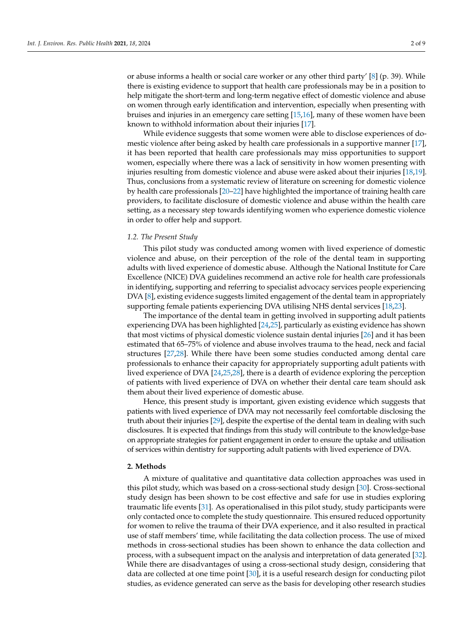or abuse informs a health or social care worker or any other third party' [\[8\]](#page-7-7) (p. 39). While there is existing evidence to support that health care professionals may be in a position to help mitigate the short-term and long-term negative effect of domestic violence and abuse on women through early identification and intervention, especially when presenting with bruises and injuries in an emergency care setting [\[15](#page-7-14)[,16\]](#page-7-15), many of these women have been known to withhold information about their injuries [\[17\]](#page-7-16).

While evidence suggests that some women were able to disclose experiences of domestic violence after being asked by health care professionals in a supportive manner [\[17\]](#page-7-16), it has been reported that health care professionals may miss opportunities to support women, especially where there was a lack of sensitivity in how women presenting with injuries resulting from domestic violence and abuse were asked about their injuries [\[18](#page-7-17)[,19\]](#page-7-18). Thus, conclusions from a systematic review of literature on screening for domestic violence by health care professionals [\[20–](#page-8-0)[22\]](#page-8-1) have highlighted the importance of training health care providers, to facilitate disclosure of domestic violence and abuse within the health care setting, as a necessary step towards identifying women who experience domestic violence in order to offer help and support.

# *1.2. The Present Study*

This pilot study was conducted among women with lived experience of domestic violence and abuse, on their perception of the role of the dental team in supporting adults with lived experience of domestic abuse. Although the National Institute for Care Excellence (NICE) DVA guidelines recommend an active role for health care professionals in identifying, supporting and referring to specialist advocacy services people experiencing DVA [\[8\]](#page-7-7), existing evidence suggests limited engagement of the dental team in appropriately supporting female patients experiencing DVA utilising NHS dental services [\[18](#page-7-17)[,23\]](#page-8-2).

The importance of the dental team in getting involved in supporting adult patients experiencing DVA has been highlighted [\[24](#page-8-3)[,25\]](#page-8-4), particularly as existing evidence has shown that most victims of physical domestic violence sustain dental injuries [\[26\]](#page-8-5) and it has been estimated that 65–75% of violence and abuse involves trauma to the head, neck and facial structures [\[27,](#page-8-6)[28\]](#page-8-7). While there have been some studies conducted among dental care professionals to enhance their capacity for appropriately supporting adult patients with lived experience of DVA [\[24](#page-8-3)[,25,](#page-8-4)[28\]](#page-8-7), there is a dearth of evidence exploring the perception of patients with lived experience of DVA on whether their dental care team should ask them about their lived experience of domestic abuse.

Hence, this present study is important, given existing evidence which suggests that patients with lived experience of DVA may not necessarily feel comfortable disclosing the truth about their injuries [\[29\]](#page-8-8), despite the expertise of the dental team in dealing with such disclosures. It is expected that findings from this study will contribute to the knowledge-base on appropriate strategies for patient engagement in order to ensure the uptake and utilisation of services within dentistry for supporting adult patients with lived experience of DVA.

#### **2. Methods**

A mixture of qualitative and quantitative data collection approaches was used in this pilot study, which was based on a cross-sectional study design [\[30\]](#page-8-9). Cross-sectional study design has been shown to be cost effective and safe for use in studies exploring traumatic life events [\[31\]](#page-8-10). As operationalised in this pilot study, study participants were only contacted once to complete the study questionnaire. This ensured reduced opportunity for women to relive the trauma of their DVA experience, and it also resulted in practical use of staff members' time, while facilitating the data collection process. The use of mixed methods in cross-sectional studies has been shown to enhance the data collection and process, with a subsequent impact on the analysis and interpretation of data generated [\[32\]](#page-8-11). While there are disadvantages of using a cross-sectional study design, considering that data are collected at one time point [\[30\]](#page-8-9), it is a useful research design for conducting pilot studies, as evidence generated can serve as the basis for developing other research studies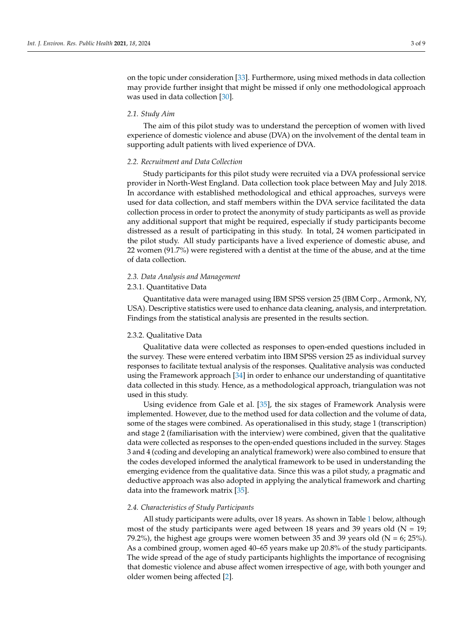on the topic under consideration [\[33\]](#page-8-12). Furthermore, using mixed methods in data collection may provide further insight that might be missed if only one methodological approach was used in data collection [\[30\]](#page-8-9).

## *2.1. Study Aim*

The aim of this pilot study was to understand the perception of women with lived experience of domestic violence and abuse (DVA) on the involvement of the dental team in supporting adult patients with lived experience of DVA.

### *2.2. Recruitment and Data Collection*

Study participants for this pilot study were recruited via a DVA professional service provider in North-West England. Data collection took place between May and July 2018. In accordance with established methodological and ethical approaches, surveys were used for data collection, and staff members within the DVA service facilitated the data collection process in order to protect the anonymity of study participants as well as provide any additional support that might be required, especially if study participants become distressed as a result of participating in this study. In total, 24 women participated in the pilot study. All study participants have a lived experience of domestic abuse, and 22 women (91.7%) were registered with a dentist at the time of the abuse, and at the time of data collection.

#### *2.3. Data Analysis and Management*

# 2.3.1. Quantitative Data

Quantitative data were managed using IBM SPSS version 25 (IBM Corp., Armonk, NY, USA). Descriptive statistics were used to enhance data cleaning, analysis, and interpretation. Findings from the statistical analysis are presented in the results section.

#### 2.3.2. Qualitative Data

Qualitative data were collected as responses to open-ended questions included in the survey. These were entered verbatim into IBM SPSS version 25 as individual survey responses to facilitate textual analysis of the responses. Qualitative analysis was conducted using the Framework approach [\[34\]](#page-8-13) in order to enhance our understanding of quantitative data collected in this study. Hence, as a methodological approach, triangulation was not used in this study.

Using evidence from Gale et al. [\[35\]](#page-8-14), the six stages of Framework Analysis were implemented. However, due to the method used for data collection and the volume of data, some of the stages were combined. As operationalised in this study, stage 1 (transcription) and stage 2 (familiarisation with the interview) were combined, given that the qualitative data were collected as responses to the open-ended questions included in the survey. Stages 3 and 4 (coding and developing an analytical framework) were also combined to ensure that the codes developed informed the analytical framework to be used in understanding the emerging evidence from the qualitative data. Since this was a pilot study, a pragmatic and deductive approach was also adopted in applying the analytical framework and charting data into the framework matrix [\[35\]](#page-8-14).

#### *2.4. Characteristics of Study Participants*

All study participants were adults, over 18 years. As shown in Table [1](#page-3-0) below, although most of the study participants were aged between 18 years and 39 years old ( $N = 19$ ; 79.2%), the highest age groups were women between 35 and 39 years old ( $N = 6$ ; 25%). As a combined group, women aged 40–65 years make up 20.8% of the study participants. The wide spread of the age of study participants highlights the importance of recognising that domestic violence and abuse affect women irrespective of age, with both younger and older women being affected [\[2\]](#page-7-4).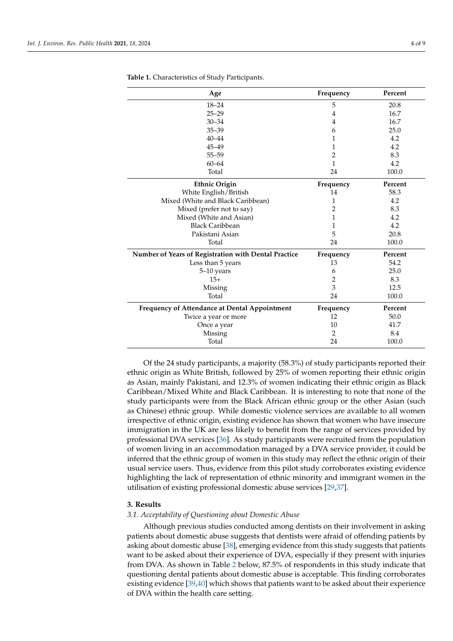| Age                                                  | Frequency      | Percent |
|------------------------------------------------------|----------------|---------|
| $18 - 24$                                            | 5              | 20.8    |
| $25 - 29$                                            | 4              | 16.7    |
| $30 - 34$                                            | 4              | 16.7    |
| $35 - 39$                                            | 6              | 25.0    |
| $40 - 44$                                            | 1              | 4.2     |
| $45 - 49$                                            | 1              | 4.2     |
| $55 - 59$                                            | 2              | 8.3     |
| $60 - 64$                                            | 1              | 4.2     |
| Total                                                | 24             | 100.0   |
| <b>Ethnic Origin</b>                                 | Frequency      | Percent |
| White English/British                                | 14             | 58.3    |
| Mixed (White and Black Caribbean)                    | 1              | 4.2     |
| Mixed (prefer not to say)                            | 2              | 8.3     |
| Mixed (White and Asian)                              | 1              | 4.2     |
| <b>Black Caribbean</b>                               | 1              | 4.2     |
| Pakistani Asian                                      | 5              | 20.8    |
| Total                                                | 24             | 100.0   |
| Number of Years of Registration with Dental Practice | Frequency      | Percent |
| Less than 5 years                                    | 13             | 54.2    |
| 5-10 years                                           | 6              | 25.0    |
| $15+$                                                | 2              | 8.3     |
| Missing                                              | 3              | 12.5    |
| Total                                                | 24             | 100.0   |
| Frequency of Attendance at Dental Appointment        | Frequency      | Percent |
| Twice a year or more                                 | 12             | 50.0    |
| Once a year                                          | 10             | 41.7    |
| Missing                                              | $\overline{2}$ | 8.4     |
| Total                                                | 24             | 100.0   |

<span id="page-3-0"></span>**Table 1.** Characteristics of Study Participants.

Of the 24 study participants, a majority (58.3%) of study participants reported their ethnic origin as White British, followed by 25% of women reporting their ethnic origin as Asian, mainly Pakistani, and 12.3% of women indicating their ethnic origin as Black Caribbean/Mixed White and Black Caribbean. It is interesting to note that none of the study participants were from the Black African ethnic group or the other Asian (such as Chinese) ethnic group. While domestic violence services are available to all women irrespective of ethnic origin, existing evidence has shown that women who have insecure immigration in the UK are less likely to benefit from the range of services provided by professional DVA services [\[36\]](#page-8-15). As study participants were recruited from the population of women living in an accommodation managed by a DVA service provider, it could be inferred that the ethnic group of women in this study may reflect the ethnic origin of their usual service users. Thus, evidence from this pilot study corroborates existing evidence highlighting the lack of representation of ethnic minority and immigrant women in the utilisation of existing professional domestic abuse services [\[29](#page-8-8)[,37\]](#page-8-16).

## **3. Results**

### *3.1. Acceptability of Questioning about Domestic Abuse*

Although previous studies conducted among dentists on their involvement in asking patients about domestic abuse suggests that dentists were afraid of offending patients by asking about domestic abuse [\[38\]](#page-8-17), emerging evidence from this study suggests that patients want to be asked about their experience of DVA, especially if they present with injuries from DVA. As shown in Table [2](#page-4-0) below, 87.5% of respondents in this study indicate that questioning dental patients about domestic abuse is acceptable. This finding corroborates existing evidence [\[39,](#page-8-18)[40\]](#page-8-19) which shows that patients want to be asked about their experience of DVA within the health care setting.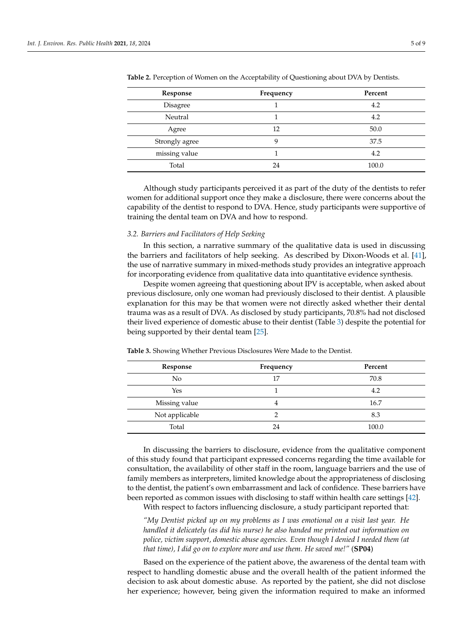| Response       | Frequency | Percent |
|----------------|-----------|---------|
| Disagree       |           | 4.2     |
| Neutral        |           | 4.2     |
| Agree          | 12        | 50.0    |
| Strongly agree | Q         | 37.5    |
| missing value  |           | 4.2     |
| Total          | 24        | 100.0   |

<span id="page-4-0"></span>**Table 2.** Perception of Women on the Acceptability of Questioning about DVA by Dentists.

Although study participants perceived it as part of the duty of the dentists to refer women for additional support once they make a disclosure, there were concerns about the capability of the dentist to respond to DVA. Hence, study participants were supportive of training the dental team on DVA and how to respond.

#### *3.2. Barriers and Facilitators of Help Seeking*

In this section, a narrative summary of the qualitative data is used in discussing the barriers and facilitators of help seeking. As described by Dixon-Woods et al. [\[41\]](#page-8-20), the use of narrative summary in mixed-methods study provides an integrative approach for incorporating evidence from qualitative data into quantitative evidence synthesis.

Despite women agreeing that questioning about IPV is acceptable, when asked about previous disclosure, only one woman had previously disclosed to their dentist. A plausible explanation for this may be that women were not directly asked whether their dental trauma was as a result of DVA. As disclosed by study participants, 70.8% had not disclosed their lived experience of domestic abuse to their dentist (Table [3\)](#page-4-1) despite the potential for being supported by their dental team [\[25\]](#page-8-4).

| Response       | Frequency | Percent |
|----------------|-----------|---------|
| N <sub>0</sub> | 17        | 70.8    |
| Yes            |           | 4.2     |
| Missing value  |           | 16.7    |
| Not applicable |           | 8.3     |
| Total          | 24        | 100.0   |

<span id="page-4-1"></span>**Table 3.** Showing Whether Previous Disclosures Were Made to the Dentist.

In discussing the barriers to disclosure, evidence from the qualitative component of this study found that participant expressed concerns regarding the time available for consultation, the availability of other staff in the room, language barriers and the use of family members as interpreters, limited knowledge about the appropriateness of disclosing to the dentist, the patient's own embarrassment and lack of confidence. These barriers have been reported as common issues with disclosing to staff within health care settings [\[42\]](#page-8-21).

With respect to factors influencing disclosure, a study participant reported that:

*"My Dentist picked up on my problems as I was emotional on a visit last year. He handled it delicately (as did his nurse) he also handed me printed out information on police, victim support, domestic abuse agencies. Even though I denied I needed them (at that time), I did go on to explore more and use them. He saved me!"* (**SP04**)

Based on the experience of the patient above, the awareness of the dental team with respect to handling domestic abuse and the overall health of the patient informed the decision to ask about domestic abuse. As reported by the patient, she did not disclose her experience; however, being given the information required to make an informed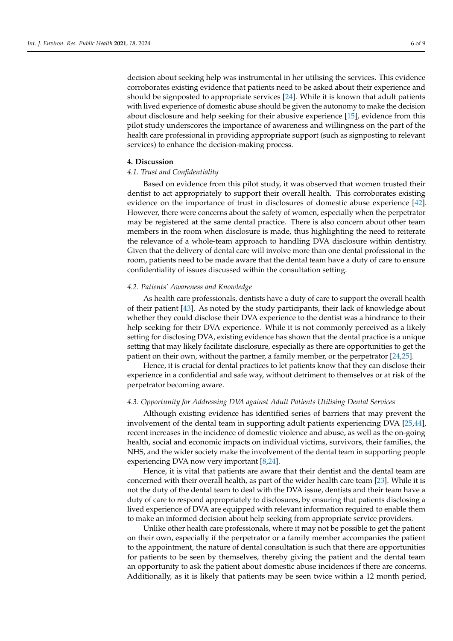decision about seeking help was instrumental in her utilising the services. This evidence corroborates existing evidence that patients need to be asked about their experience and should be signposted to appropriate services [\[24\]](#page-8-3). While it is known that adult patients with lived experience of domestic abuse should be given the autonomy to make the decision about disclosure and help seeking for their abusive experience [\[15\]](#page-7-14), evidence from this pilot study underscores the importance of awareness and willingness on the part of the health care professional in providing appropriate support (such as signposting to relevant services) to enhance the decision-making process.

### **4. Discussion**

# *4.1. Trust and Confidentiality*

Based on evidence from this pilot study, it was observed that women trusted their dentist to act appropriately to support their overall health. This corroborates existing evidence on the importance of trust in disclosures of domestic abuse experience [\[42\]](#page-8-21). However, there were concerns about the safety of women, especially when the perpetrator may be registered at the same dental practice. There is also concern about other team members in the room when disclosure is made, thus highlighting the need to reiterate the relevance of a whole-team approach to handling DVA disclosure within dentistry. Given that the delivery of dental care will involve more than one dental professional in the room, patients need to be made aware that the dental team have a duty of care to ensure confidentiality of issues discussed within the consultation setting.

# *4.2. Patients' Awareness and Knowledge*

As health care professionals, dentists have a duty of care to support the overall health of their patient [\[43\]](#page-8-22). As noted by the study participants, their lack of knowledge about whether they could disclose their DVA experience to the dentist was a hindrance to their help seeking for their DVA experience. While it is not commonly perceived as a likely setting for disclosing DVA, existing evidence has shown that the dental practice is a unique setting that may likely facilitate disclosure, especially as there are opportunities to get the patient on their own, without the partner, a family member, or the perpetrator [\[24](#page-8-3)[,25\]](#page-8-4).

Hence, it is crucial for dental practices to let patients know that they can disclose their experience in a confidential and safe way, without detriment to themselves or at risk of the perpetrator becoming aware.

#### *4.3. Opportunity for Addressing DVA against Adult Patients Utilising Dental Services*

Although existing evidence has identified series of barriers that may prevent the involvement of the dental team in supporting adult patients experiencing DVA [\[25,](#page-8-4)[44\]](#page-8-23), recent increases in the incidence of domestic violence and abuse, as well as the on-going health, social and economic impacts on individual victims, survivors, their families, the NHS, and the wider society make the involvement of the dental team in supporting people experiencing DVA now very important [\[8,](#page-7-7)[24\]](#page-8-3).

Hence, it is vital that patients are aware that their dentist and the dental team are concerned with their overall health, as part of the wider health care team [\[23\]](#page-8-2). While it is not the duty of the dental team to deal with the DVA issue, dentists and their team have a duty of care to respond appropriately to disclosures, by ensuring that patients disclosing a lived experience of DVA are equipped with relevant information required to enable them to make an informed decision about help seeking from appropriate service providers.

Unlike other health care professionals, where it may not be possible to get the patient on their own, especially if the perpetrator or a family member accompanies the patient to the appointment, the nature of dental consultation is such that there are opportunities for patients to be seen by themselves, thereby giving the patient and the dental team an opportunity to ask the patient about domestic abuse incidences if there are concerns. Additionally, as it is likely that patients may be seen twice within a 12 month period,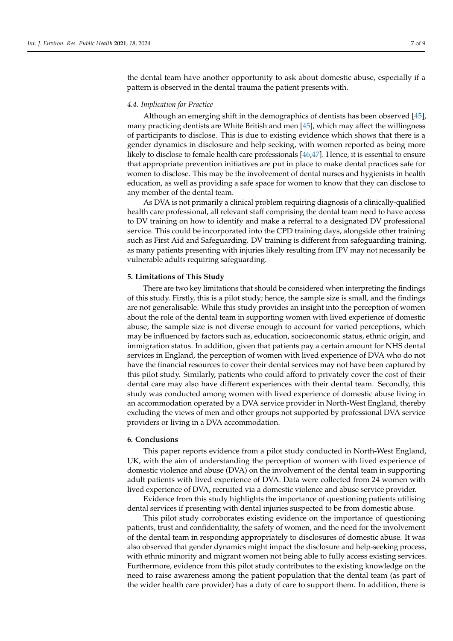the dental team have another opportunity to ask about domestic abuse, especially if a pattern is observed in the dental trauma the patient presents with.

## *4.4. Implication for Practice*

Although an emerging shift in the demographics of dentists has been observed [\[45\]](#page-8-24), many practicing dentists are White British and men [\[45\]](#page-8-24), which may affect the willingness of participants to disclose. This is due to existing evidence which shows that there is a gender dynamics in disclosure and help seeking, with women reported as being more likely to disclose to female health care professionals [\[46](#page-8-25)[,47\]](#page-8-26). Hence, it is essential to ensure that appropriate prevention initiatives are put in place to make dental practices safe for women to disclose. This may be the involvement of dental nurses and hygienists in health education, as well as providing a safe space for women to know that they can disclose to any member of the dental team.

As DVA is not primarily a clinical problem requiring diagnosis of a clinically-qualified health care professional, all relevant staff comprising the dental team need to have access to DV training on how to identify and make a referral to a designated DV professional service. This could be incorporated into the CPD training days, alongside other training such as First Aid and Safeguarding. DV training is different from safeguarding training, as many patients presenting with injuries likely resulting from IPV may not necessarily be vulnerable adults requiring safeguarding.

#### **5. Limitations of This Study**

There are two key limitations that should be considered when interpreting the findings of this study. Firstly, this is a pilot study; hence, the sample size is small, and the findings are not generalisable. While this study provides an insight into the perception of women about the role of the dental team in supporting women with lived experience of domestic abuse, the sample size is not diverse enough to account for varied perceptions, which may be influenced by factors such as, education, socioeconomic status, ethnic origin, and immigration status. In addition, given that patients pay a certain amount for NHS dental services in England, the perception of women with lived experience of DVA who do not have the financial resources to cover their dental services may not have been captured by this pilot study. Similarly, patients who could afford to privately cover the cost of their dental care may also have different experiences with their dental team. Secondly, this study was conducted among women with lived experience of domestic abuse living in an accommodation operated by a DVA service provider in North-West England, thereby excluding the views of men and other groups not supported by professional DVA service providers or living in a DVA accommodation.

#### **6. Conclusions**

This paper reports evidence from a pilot study conducted in North-West England, UK, with the aim of understanding the perception of women with lived experience of domestic violence and abuse (DVA) on the involvement of the dental team in supporting adult patients with lived experience of DVA. Data were collected from 24 women with lived experience of DVA, recruited via a domestic violence and abuse service provider.

Evidence from this study highlights the importance of questioning patients utilising dental services if presenting with dental injuries suspected to be from domestic abuse.

This pilot study corroborates existing evidence on the importance of questioning patients, trust and confidentiality, the safety of women, and the need for the involvement of the dental team in responding appropriately to disclosures of domestic abuse. It was also observed that gender dynamics might impact the disclosure and help-seeking process, with ethnic minority and migrant women not being able to fully access existing services. Furthermore, evidence from this pilot study contributes to the existing knowledge on the need to raise awareness among the patient population that the dental team (as part of the wider health care provider) has a duty of care to support them. In addition, there is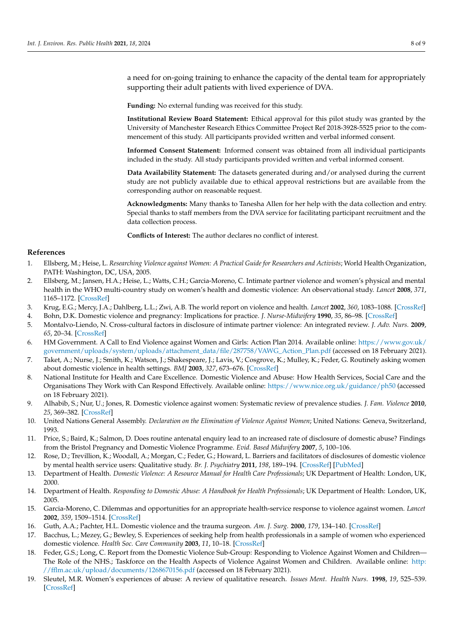a need for on-going training to enhance the capacity of the dental team for appropriately supporting their adult patients with lived experience of DVA.

**Funding:** No external funding was received for this study.

**Institutional Review Board Statement:** Ethical approval for this pilot study was granted by the University of Manchester Research Ethics Committee Project Ref 2018-3928-5525 prior to the commencement of this study. All participants provided written and verbal informed consent.

**Informed Consent Statement:** Informed consent was obtained from all individual participants included in the study. All study participants provided written and verbal informed consent.

**Data Availability Statement:** The datasets generated during and/or analysed during the current study are not publicly available due to ethical approval restrictions but are available from the corresponding author on reasonable request.

**Acknowledgments:** Many thanks to Tanesha Allen for her help with the data collection and entry. Special thanks to staff members from the DVA service for facilitating participant recruitment and the data collection process.

**Conflicts of Interest:** The author declares no conflict of interest.

#### **References**

- <span id="page-7-0"></span>1. Ellsberg, M.; Heise, L. *Researching Violence against Women: A Practical Guide for Researchers and Activists*; World Health Organization, PATH: Washington, DC, USA, 2005.
- <span id="page-7-4"></span>2. Ellsberg, M.; Jansen, H.A.; Heise, L.; Watts, C.H.; Garcia-Moreno, C. Intimate partner violence and women's physical and mental health in the WHO multi-country study on women's health and domestic violence: An observational study. *Lancet* **2008**, *371*, 1165–1172. [\[CrossRef\]](http://doi.org/10.1016/S0140-6736(08)60522-X)
- <span id="page-7-1"></span>3. Krug, E.G.; Mercy, J.A.; Dahlberg, L.L.; Zwi, A.B. The world report on violence and health. *Lancet* **2002**, *360*, 1083–1088. [\[CrossRef\]](http://doi.org/10.1016/S0140-6736(02)11133-0)
- <span id="page-7-2"></span>4. Bohn, D.K. Domestic violence and pregnancy: Implications for practice. *J. Nurse-Midwifery* **1990**, *35*, 86–98. [\[CrossRef\]](http://doi.org/10.1016/0091-2182(90)90064-C)
- <span id="page-7-3"></span>5. Montalvo-Liendo, N. Cross-cultural factors in disclosure of intimate partner violence: An integrated review. *J. Adv. Nurs.* **2009**, *65*, 20–34. [\[CrossRef\]](http://doi.org/10.1111/j.1365-2648.2008.04850.x)
- <span id="page-7-5"></span>6. HM Government. A Call to End Violence against Women and Girls: Action Plan 2014. Available online: [https://www.gov.uk/](https://www.gov.uk/government/uploads/system/uploads/attachment_data/file/287758/VAWG_Action_Plan.pdf) [government/uploads/system/uploads/attachment\\_data/file/287758/VAWG\\_Action\\_Plan.pdf](https://www.gov.uk/government/uploads/system/uploads/attachment_data/file/287758/VAWG_Action_Plan.pdf) (accessed on 18 February 2021).
- <span id="page-7-6"></span>7. Taket, A.; Nurse, J.; Smith, K.; Watson, J.; Shakespeare, J.; Lavis, V.; Cosgrove, K.; Mulley, K.; Feder, G. Routinely asking women about domestic violence in health settings. *BMJ* **2003**, *327*, 673–676. [\[CrossRef\]](http://doi.org/10.1136/bmj.327.7416.673)
- <span id="page-7-7"></span>8. National Institute for Health and Care Excellence. Domestic Violence and Abuse: How Health Services, Social Care and the Organisations They Work with Can Respond Effectively. Available online: <https://www.nice.org.uk/guidance/ph50> (accessed on 18 February 2021).
- <span id="page-7-8"></span>9. Alhabib, S.; Nur, U.; Jones, R. Domestic violence against women: Systematic review of prevalence studies. *J. Fam. Violence* **2010**, *25*, 369–382. [\[CrossRef\]](http://doi.org/10.1007/s10896-009-9298-4)
- <span id="page-7-9"></span>10. United Nations General Assembly. *Declaration on the Elimination of Violence Against Women*; United Nations: Geneva, Switzerland, 1993.
- <span id="page-7-10"></span>11. Price, S.; Baird, K.; Salmon, D. Does routine antenatal enquiry lead to an increased rate of disclosure of domestic abuse? Findings from the Bristol Pregnancy and Domestic Violence Programme. *Evid. Based Midwifery* **2007**, *5*, 100–106.
- <span id="page-7-11"></span>12. Rose, D.; Trevillion, K.; Woodall, A.; Morgan, C.; Feder, G.; Howard, L. Barriers and facilitators of disclosures of domestic violence by mental health service users: Qualitative study. *Br. J. Psychiatry* **2011**, *198*, 189–194. [\[CrossRef\]](http://doi.org/10.1192/bjp.bp.109.072389) [\[PubMed\]](http://www.ncbi.nlm.nih.gov/pubmed/21160053)
- <span id="page-7-12"></span>13. Department of Health. *Domestic Violence: A Resource Manual for Health Care Professionals*; UK Department of Health: London, UK, 2000.
- <span id="page-7-13"></span>14. Department of Health. *Responding to Domestic Abuse: A Handbook for Health Professionals*; UK Department of Health: London, UK, 2005.
- <span id="page-7-14"></span>15. Garcia-Moreno, C. Dilemmas and opportunities for an appropriate health-service response to violence against women. *Lancet* **2002**, *359*, 1509–1514. [\[CrossRef\]](http://doi.org/10.1016/S0140-6736(02)08417-9)
- <span id="page-7-15"></span>16. Guth, A.A.; Pachter, H.L. Domestic violence and the trauma surgeon. *Am. J. Surg.* **2000**, *179*, 134–140. [\[CrossRef\]](http://doi.org/10.1016/S0002-9610(00)00245-2)
- <span id="page-7-16"></span>17. Bacchus, L.; Mezey, G.; Bewley, S. Experiences of seeking help from health professionals in a sample of women who experienced domestic violence. *Health Soc. Care Community* **2003**, *11*, 10–18. [\[CrossRef\]](http://doi.org/10.1046/j.1365-2524.2003.00402.x)
- <span id="page-7-17"></span>18. Feder, G.S.; Long, C. Report from the Domestic Violence Sub-Group: Responding to Violence Against Women and Children— The Role of the NHS.; Taskforce on the Health Aspects of Violence Against Women and Children. Available online: [http:](http://fflm.ac.uk/upload/documents/1268670156.pdf) [//fflm.ac.uk/upload/documents/1268670156.pdf](http://fflm.ac.uk/upload/documents/1268670156.pdf) (accessed on 18 February 2021).
- <span id="page-7-18"></span>19. Sleutel, M.R. Women's experiences of abuse: A review of qualitative research. *Issues Ment. Health Nurs.* **1998**, *19*, 525–539. [\[CrossRef\]](http://doi.org/10.1080/016128498248827)